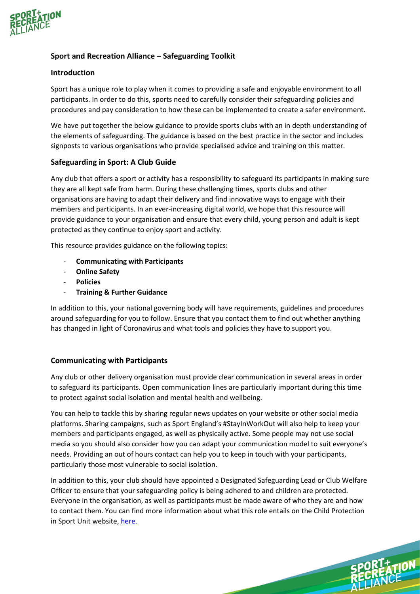

# **Sport and Recreation Alliance – Safeguarding Toolkit**

## **Introduction**

Sport has a unique role to play when it comes to providing a safe and enjoyable environment to all participants. In order to do this, sports need to carefully consider their safeguarding policies and procedures and pay consideration to how these can be implemented to create a safer environment.

We have put together the below guidance to provide sports clubs with an in depth understanding of the elements of safeguarding. The guidance is based on the best practice in the sector and includes signposts to various organisations who provide specialised advice and training on this matter.

## **Safeguarding in Sport: A Club Guide**

Any club that offers a sport or activity has a responsibility to safeguard its participants in making sure they are all kept safe from harm. During these challenging times, sports clubs and other organisations are having to adapt their delivery and find innovative ways to engage with their members and participants. In an ever-increasing digital world, we hope that this resource will provide guidance to your organisation and ensure that every child, young person and adult is kept protected as they continue to enjoy sport and activity.

This resource provides guidance on the following topics:

- **Communicating with Participants**
- **Online Safety**
- **Policies**
- **Training & Further Guidance**

In addition to this, your national governing body will have requirements, guidelines and procedures around safeguarding for you to follow. Ensure that you contact them to find out whether anything has changed in light of Coronavirus and what tools and policies they have to support you.

# **Communicating with Participants**

Any club or other delivery organisation must provide clear communication in several areas in order to safeguard its participants. Open communication lines are particularly important during this time to protect against social isolation and mental health and wellbeing.

You can help to tackle this by sharing regular news updates on your website or other social media platforms. Sharing campaigns, such as Sport England's #StayInWorkOut will also help to keep your members and participants engaged, as well as physically active. Some people may not use social media so you should also consider how you can adapt your communication model to suit everyone's needs. Providing an out of hours contact can help you to keep in touch with your participants, particularly those most vulnerable to social isolation.

In addition to this, your club should have appointed a Designated Safeguarding Lead or Club Welfare Officer to ensure that your safeguarding policy is being adhered to and children are protected. Everyone in the organisation, as well as participants must be made aware of who they are and how to contact them. You can find more information about what this role entails on the Child Protection in Sport Unit website, [here.](https://thecpsu.org.uk/resource-library/forms/job-description-lead-safeguarding-officer/)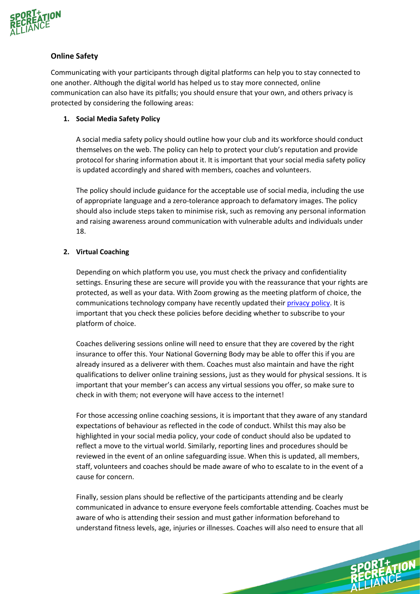

# **Online Safety**

Communicating with your participants through digital platforms can help you to stay connected to one another. Although the digital world has helped us to stay more connected, online communication can also have its pitfalls; you should ensure that your own, and others privacy is protected by considering the following areas:

## **1. Social Media Safety Policy**

A social media safety policy should outline how your club and its workforce should conduct themselves on the web. The policy can help to protect your club's reputation and provide protocol for sharing information about it. It is important that your social media safety policy is updated accordingly and shared with members, coaches and volunteers.

The policy should include guidance for the acceptable use of social media, including the use of appropriate language and a zero-tolerance approach to defamatory images. The policy should also include steps taken to minimise risk, such as removing any personal information and raising awareness around communication with vulnerable adults and individuals under 18.

# **2. Virtual Coaching**

Depending on which platform you use, you must check the privacy and confidentiality settings. Ensuring these are secure will provide you with the reassurance that your rights are protected, as well as your data. With Zoom growing as the meeting platform of choice, the communications technology company have recently updated their [privacy policy.](https://zoom.us/privacy) It is important that you check these policies before deciding whether to subscribe to your platform of choice.

Coaches delivering sessions online will need to ensure that they are covered by the right insurance to offer this. Your National Governing Body may be able to offer this if you are already insured as a deliverer with them. Coaches must also maintain and have the right qualifications to deliver online training sessions, just as they would for physical sessions. It is important that your member's can access any virtual sessions you offer, so make sure to check in with them; not everyone will have access to the internet!

For those accessing online coaching sessions, it is important that they aware of any standard expectations of behaviour as reflected in the code of conduct. Whilst this may also be highlighted in your social media policy, your code of conduct should also be updated to reflect a move to the virtual world. Similarly, reporting lines and procedures should be reviewed in the event of an online safeguarding issue. When this is updated, all members, staff, volunteers and coaches should be made aware of who to escalate to in the event of a cause for concern.

Finally, session plans should be reflective of the participants attending and be clearly communicated in advance to ensure everyone feels comfortable attending. Coaches must be aware of who is attending their session and must gather information beforehand to understand fitness levels, age, injuries or illnesses. Coaches will also need to ensure that all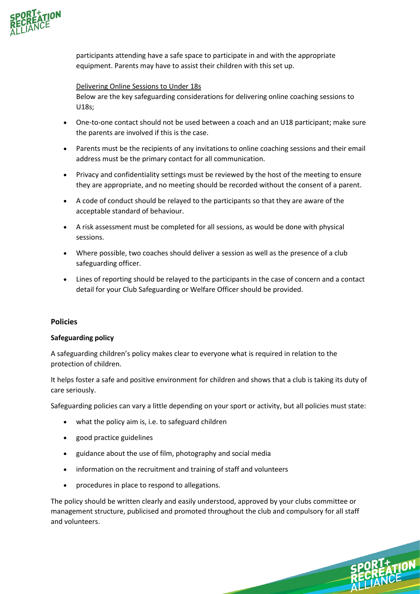

participants attending have a safe space to participate in and with the appropriate equipment. Parents may have to assist their children with this set up.

### Delivering Online Sessions to Under 18s

Below are the key safeguarding considerations for delivering online coaching sessions to U18s;

- One-to-one contact should not be used between a coach and an U18 participant; make sure the parents are involved if this is the case.
- Parents must be the recipients of any invitations to online coaching sessions and their email address must be the primary contact for all communication.
- Privacy and confidentiality settings must be reviewed by the host of the meeting to ensure they are appropriate, and no meeting should be recorded without the consent of a parent.
- A code of conduct should be relayed to the participants so that they are aware of the acceptable standard of behaviour.
- A risk assessment must be completed for all sessions, as would be done with physical sessions.
- Where possible, two coaches should deliver a session as well as the presence of a club safeguarding officer.
- Lines of reporting should be relayed to the participants in the case of concern and a contact detail for your Club Safeguarding or Welfare Officer should be provided.

### **Policies**

#### **Safeguarding policy**

A safeguarding children's policy makes clear to everyone what is required in relation to the protection of children.

It helps foster a safe and positive environment for children and shows that a club is taking its duty of care seriously.

Safeguarding policies can vary a little depending on your sport or activity, but all policies must state:

- what the policy aim is, i.e. to safeguard children
- good practice guidelines
- guidance about the use of film, photography and social media
- information on the recruitment and training of staff and volunteers
- procedures in place to respond to allegations.

The policy should be written clearly and easily understood, approved by your clubs committee or management structure, publicised and promoted throughout the club and compulsory for all staff and volunteers.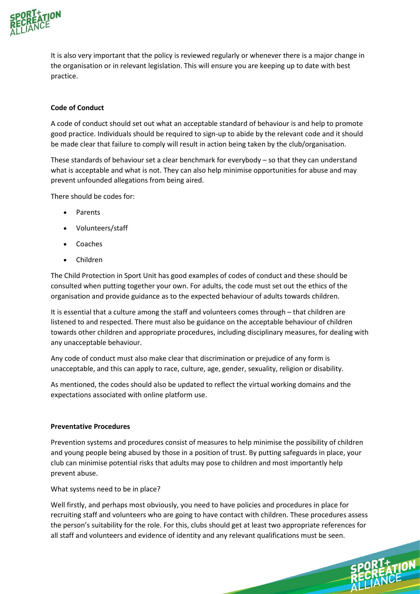

It is also very important that the policy is reviewed regularly or whenever there is a major change in the organisation or in relevant legislation. This will ensure you are keeping up to date with best practice.

## **Code of Conduct**

A code of conduct should set out what an acceptable standard of behaviour is and help to promote good practice. Individuals should be required to sign-up to abide by the relevant code and it should be made clear that failure to comply will result in action being taken by the club/organisation.

These standards of behaviour set a clear benchmark for everybody – so that they can understand what is acceptable and what is not. They can also help minimise opportunities for abuse and may prevent unfounded allegations from being aired.

There should be codes for:

- Parents
- Volunteers/staff
- Coaches
- Children

The Child Protection in Sport Unit has good examples of codes of conduct and these should be consulted when putting together your own. For adults, the code must set out the ethics of the organisation and provide guidance as to the expected behaviour of adults towards children.

It is essential that a culture among the staff and volunteers comes through – that children are listened to and respected. There must also be guidance on the acceptable behaviour of children towards other children and appropriate procedures, including disciplinary measures, for dealing with any unacceptable behaviour.

Any code of conduct must also make clear that discrimination or prejudice of any form is unacceptable, and this can apply to race, culture, age, gender, sexuality, religion or disability.

As mentioned, the codes should also be updated to reflect the virtual working domains and the expectations associated with online platform use.

## **Preventative Procedures**

Prevention systems and procedures consist of measures to help minimise the possibility of children and young people being abused by those in a position of trust. By putting safeguards in place, your club can minimise potential risks that adults may pose to children and most importantly help prevent abuse.

What systems need to be in place?

Well firstly, and perhaps most obviously, you need to have policies and procedures in place for recruiting staff and volunteers who are going to have contact with children. These procedures assess the person's suitability for the role. For this, clubs should get at least two appropriate references for all staff and volunteers and evidence of identity and any relevant qualifications must be seen.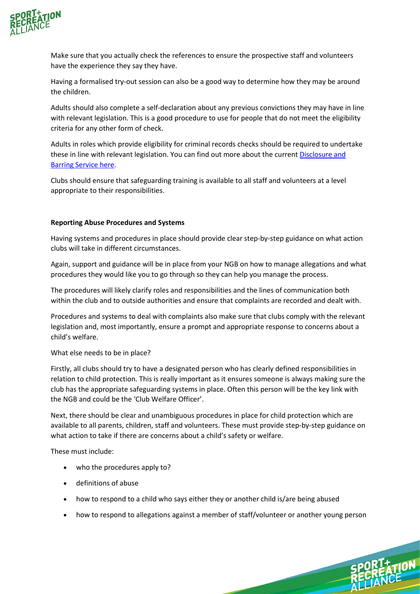

Make sure that you actually check the references to ensure the prospective staff and volunteers have the experience they say they have.

Having a formalised try-out session can also be a good way to determine how they may be around the children.

Adults should also complete a self-declaration about any previous convictions they may have in line with relevant legislation. This is a good procedure to use for people that do not meet the eligibility criteria for any other form of check.

Adults in roles which provide eligibility for criminal records checks should be required to undertake these in line with relevant legislation. You can find out more about the current [Disclosure and](https://www.gov.uk/government/organisations/disclosure-and-barring-service)  [Barring Service](https://www.gov.uk/government/organisations/disclosure-and-barring-service) here.

Clubs should ensure that safeguarding training is available to all staff and volunteers at a level appropriate to their responsibilities.

## **Reporting Abuse Procedures and Systems**

Having systems and procedures in place should provide clear step-by-step guidance on what action clubs will take in different circumstances.

Again, support and guidance will be in place from your NGB on how to manage allegations and what procedures they would like you to go through so they can help you manage the process.

The procedures will likely clarify roles and responsibilities and the lines of communication both within the club and to outside authorities and ensure that complaints are recorded and dealt with.

Procedures and systems to deal with complaints also make sure that clubs comply with the relevant legislation and, most importantly, ensure a prompt and appropriate response to concerns about a child's welfare.

## What else needs to be in place?

Firstly, all clubs should try to have a designated person who has clearly defined responsibilities in relation to child protection. This is really important as it ensures someone is always making sure the club has the appropriate safeguarding systems in place. Often this person will be the key link with the NGB and could be the 'Club Welfare Officer'.

Next, there should be clear and unambiguous procedures in place for child protection which are available to all parents, children, staff and volunteers. These must provide step-by-step guidance on what action to take if there are concerns about a child's safety or welfare.

These must include:

- who the procedures apply to?
- definitions of abuse
- how to respond to a child who says either they or another child is/are being abused
- how to respond to allegations against a member of staff/volunteer or another young person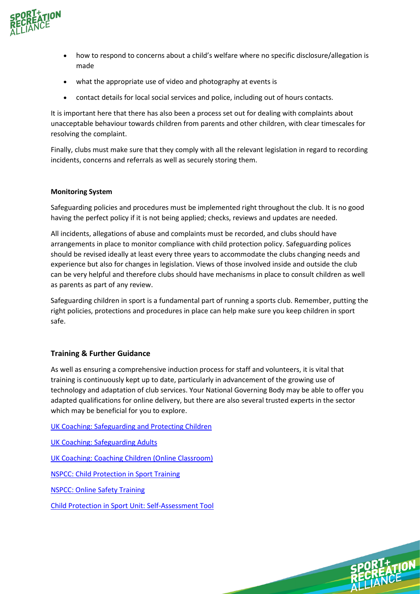

- how to respond to concerns about a child's welfare where no specific disclosure/allegation is made
- what the appropriate use of video and photography at events is
- contact details for local social services and police, including out of hours contacts.

It is important here that there has also been a process set out for dealing with complaints about unacceptable behaviour towards children from parents and other children, with clear timescales for resolving the complaint.

Finally, clubs must make sure that they comply with all the relevant legislation in regard to recording incidents, concerns and referrals as well as securely storing them.

### **Monitoring System**

Safeguarding policies and procedures must be implemented right throughout the club. It is no good having the perfect policy if it is not being applied; checks, reviews and updates are needed.

All incidents, allegations of abuse and complaints must be recorded, and clubs should have arrangements in place to monitor compliance with child protection policy. Safeguarding polices should be revised ideally at least every three years to accommodate the clubs changing needs and experience but also for changes in legislation. Views of those involved inside and outside the club can be very helpful and therefore clubs should have mechanisms in place to consult children as well as parents as part of any review.

Safeguarding children in sport is a fundamental part of running a sports club. Remember, putting the right policies, protections and procedures in place can help make sure you keep children in sport safe.

## **Training & Further Guidance**

As well as ensuring a comprehensive induction process for staff and volunteers, it is vital that training is continuously kept up to date, particularly in advancement of the growing use of technology and adaptation of club services. Your National Governing Body may be able to offer you adapted qualifications for online delivery, but there are also several trusted experts in the sector which may be beneficial for you to explore.

[UK Coaching: Safeguarding and Protecting Children](https://www.ukcoaching.org/courses/workshops/safeguarding-protecting-children) 

[UK Coaching: Safeguarding Adults](https://www.ukcoaching.org/courses/learn-at-home/safeguarding-adults) 

[UK Coaching: Coaching Children \(Online Classroom\)](https://www.ukcoaching.org/courses/workshops/coaching-children-online-classroom)

[NSPCC: Child Protection in Sport Training](https://learning.nspcc.org.uk/training/child-protection-safeguarding-sport)

[NSPCC: Online Safety Training](https://learning.nspcc.org.uk/training/online-safety) 

[Child Protection in Sport Unit: Self-Assessment Tool](https://thecpsu.org.uk/self-assessment-tool/)